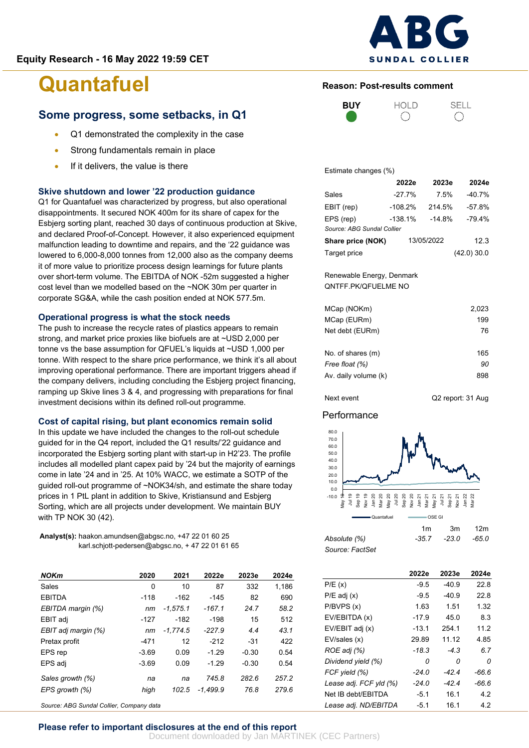

**Reason: Post-results comment**

HOLD

# **Quantafuel**

### **Some progress, some setbacks, in Q1**

- Q1 demonstrated the complexity in the case
- Strong fundamentals remain in place
- If it delivers, the value is there

### **Skive shutdown and lower '22 production guidance**

Q1 for Quantafuel was characterized by progress, but also operational disappointments. It secured NOK 400m for its share of capex for the Esbjerg sorting plant, reached 30 days of continuous production at Skive, and declared Proof-of-Concept. However, it also experienced equipment malfunction leading to downtime and repairs, and the '22 guidance was lowered to 6,000-8,000 tonnes from 12,000 also as the company deems it of more value to prioritize process design learnings for future plants over short-term volume. The EBITDA of NOK -52m suggested a higher cost level than we modelled based on the ~NOK 30m per quarter in corporate SG&A, while the cash position ended at NOK 577.5m.

### **Operational progress is what the stock needs**

The push to increase the recycle rates of plastics appears to remain strong, and market price proxies like biofuels are at ~USD 2,000 per tonne vs the base assumption for QFUEL's liquids at ~USD 1,000 per tonne. With respect to the share price performance, we think it's all about improving operational performance. There are important triggers ahead if the company delivers, including concluding the Esbjerg project financing, ramping up Skive lines 3 & 4, and progressing with preparations for final investment decisions within its defined roll-out programme.

#### **Cost of capital rising, but plant economics remain solid**

In this update we have included the changes to the roll-out schedule guided for in the Q4 report, included the Q1 results/'22 guidance and incorporated the Esbjerg sorting plant with start-up in H2'23. The profile includes all modelled plant capex paid by '24 but the majority of earnings come in late '24 and in '25. At 10% WACC, we estimate a SOTP of the guided roll-out programme of ~NOK34/sh, and estimate the share today prices in 1 PtL plant in addition to Skive, Kristiansund and Esbjerg Sorting, which are all projects under development. We maintain BUY with TP NOK 30 (42).

**Analyst(s):** haakon.amundsen@abgsc.no, +47 22 01 60 25 karl.schjott-pedersen@abgsc.no, + 47 22 01 61 65

| <b>NOKm</b>         | 2020    | 2021       | 2022e    | 2023e   | 2024e |
|---------------------|---------|------------|----------|---------|-------|
| Sales               | 0       | 10         | 87       | 332     | 1.186 |
| <b>EBITDA</b>       | $-118$  | $-162$     | -145     | 82      | 690   |
| EBITDA margin (%)   | nm      | $-1.575.1$ | $-167.1$ | 24.7    | 58.2  |
| EBIT adj            | -127    | $-182$     | $-198$   | 15      | 512   |
| EBIT adj margin (%) | nm      | $-1.774.5$ | $-227.9$ | 4.4     | 43.1  |
| Pretax profit       | -471    | 12         | $-212$   | $-31$   | 422   |
| EPS rep             | $-3.69$ | 0.09       | $-1.29$  | $-0.30$ | 0.54  |
| EPS adj             | $-3.69$ | 0.09       | $-1.29$  | $-0.30$ | 0.54  |
| Sales growth (%)    | na      | na         | 745.8    | 282.6   | 257.2 |
| EPS growth (%)      | high    | 102.5      | -1.499.9 | 76.8    | 279.6 |

*Source: ABG Sundal Collier, Company data*

### **BUY**  $\bigcirc$

**SELL**  $\bigcap$ 

Estimate changes (%)

|                            | 2022e     | 2023e      | 2024e      |
|----------------------------|-----------|------------|------------|
| Sales                      | $-27.7%$  | 7.5%       | -40.7%     |
| EBIT (rep)                 | $-108.2%$ | 214.5%     | $-57.8%$   |
| EPS (rep)                  | $-138.1%$ | $-14.8%$   | $-79.4%$   |
| Source: ABG Sundal Collier |           |            |            |
| Share price (NOK)          |           | 13/05/2022 | 12.3       |
| Target price               |           |            | (42.0)30.0 |

Renewable Energy, Denmark QNTFF.PK/QFUELME NO

| MCap (NOKm)          | 2,023 |
|----------------------|-------|
| MCap (EURm)          | 199   |
| Net debt (EURm)      | 76    |
| No. of shares (m)    | 165   |
| Free float (%)       | 90    |
| Av. daily volume (k) | 898   |

Next event G2 report: 31 Aug

### Performance



*Source: FactSet*

|                        | 2022e   | 2023e   | 2024e |
|------------------------|---------|---------|-------|
| P/E(x)                 | $-9.5$  | $-40.9$ | 22 B  |
| $P/E$ adj $(x)$        | $-9.5$  | $-40.9$ | 22 B  |
| P/BVPS(x)              | 1.63    | 1.51    | 1.32  |
| EV/EBITDA (x)          | $-17.9$ | 45 O    | 8.3   |
| EV/EBIT adj (x)        | -13.1   | 254.1   | 11.2  |
| EV/sales (x)           | 29.89   | 11.12   | 4.85  |
| ROE adj (%)            | -18.3   | $-4.3$  | 67    |
| Dividend yield (%)     | 0       | n       | 0     |
| FCF yield (%)          | -24 0   | -424    | -66.6 |
| Lease adj. FCF yld (%) | -24 0   | -424    | -66.6 |
| Net IB debt/EBITDA     | $-5.1$  | 16.1    | 42    |
| Lease adj. ND/EBITDA   | -5.1    | 16.1    | 42    |

#### **Please refer to important disclosures at the end of this report**

Document downloaded by Jan MARTINEK (CEC Partners)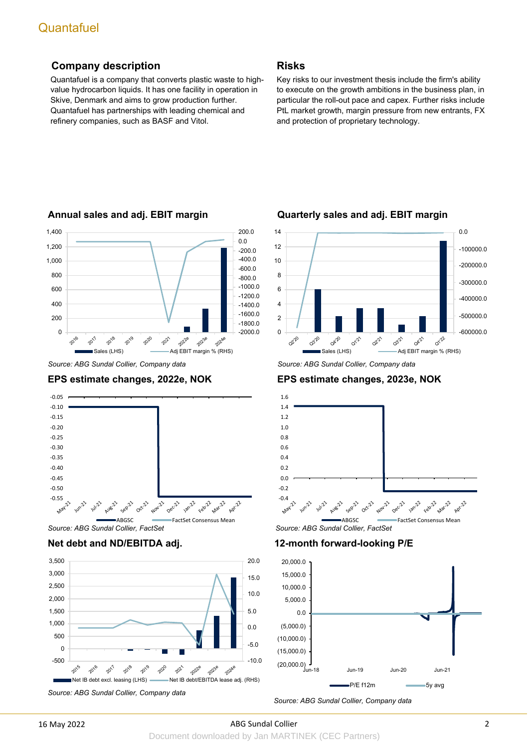### **Company description**

Quantafuel is a company that converts plastic waste to highvalue hydrocarbon liquids. It has one facility in operation in Skive, Denmark and aims to grow production further. Quantafuel has partnerships with leading chemical and refinery companies, such as BASF and Vitol.

### **Risks**

Key risks to our investment thesis include the firm's ability to execute on the growth ambitions in the business plan, in particular the roll-out pace and capex. Further risks include PtL market growth, margin pressure from new entrants, FX and protection of proprietary technology.



### **Annual sales and adj. EBIT margin**

### **EPS estimate changes, 2022e, NOK**









 *Source: ABG Sundal Collier, Company data*

### **EPS estimate changes, 2023e, NOK**



**12-month forward-looking P/E**



*Source: ABG Sundal Collier, Company data*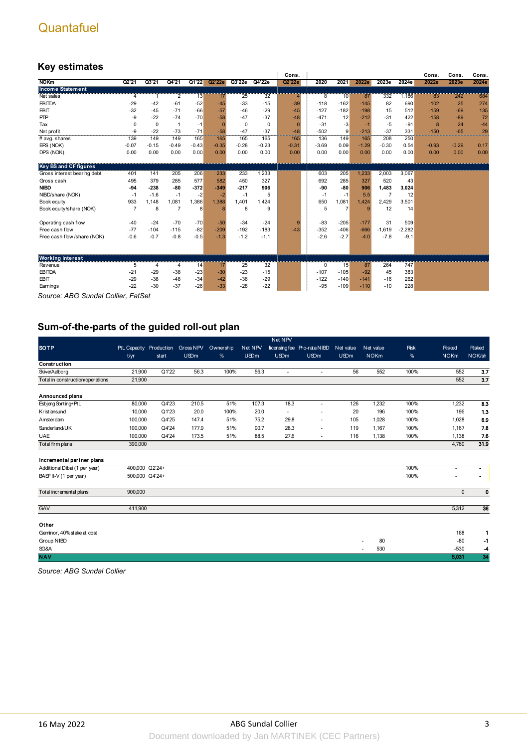### **Key estimates**

|                              |             |              |         |         |                 |             |         | Cons.          |         |                |                 |                |          | Cons.   | Cons.   | Cons. |
|------------------------------|-------------|--------------|---------|---------|-----------------|-------------|---------|----------------|---------|----------------|-----------------|----------------|----------|---------|---------|-------|
| <b>NOKm</b>                  | Q2'21       | Q3'21        | Q4'21   | Q1'22   | Q2'22e          | Q3'22e      | Q4'22e  | Q2'22e         | 2020    | 2021           | 2022e           | 2023e          | 2024e    | 2022e   | 2023e   | 2024e |
| <b>Income Statement</b>      |             |              |         |         |                 |             |         |                |         |                |                 |                |          |         |         |       |
| Net sales                    | 4           | $\mathbf{1}$ | 2       | 13      | 17              | 25          | 32      | $\overline{4}$ | 8       | 10             | 87              | 332            | 1,186    | 83      | 242     | 684   |
| <b>EBITDA</b>                | $-29$       | $-42$        | $-61$   | $-52$   | $-45$           | $-33$       | $-15$   | $-39$          | $-118$  | $-162$         | $-145$          | 82             | 690      | $-102$  | 25      | 274   |
| <b>EBIT</b>                  | $-32$       | $-45$        | $-71$   | $-66$   | $-57$           | $-46$       | $-29$   | $-45$          | $-127$  | $-182$         | $-198$          | 15             | 512      | $-159$  | $-69$   | 135   |
| PTP                          | -9          | $-22$        | $-74$   | $-70$   | $-58$           | $-47$       | $-37$   | $-48$          | $-471$  | 12             | $-212$          | $-31$          | 422      | $-158$  | $-89$   | 72    |
| Tax                          | $\mathbf 0$ | $\mathbf 0$  |         | $-1$    | $\Omega$        | $\mathbf 0$ | 0       | $\Omega$       | $-31$   | $-3$           | $-1$            | $-5$           | $-91$    | 8       | 24      | $-44$ |
| Net profit                   | -9          | $-22$        | $-73$   | $-71$   | $-58$           | $-47$       | $-37$   | $-48$          | $-502$  | 9              | $-213$          | $-37$          | 331      | $-150$  | $-65$   | 29    |
| # avg. shares                | 139         | 149          | 149     | 165     | 165             | 165         | 165     | 165            | 136     | 149            | 165             | 208            | 250      |         |         |       |
| EPS (NOK)                    | $-0.07$     | $-0.15$      | $-0.49$ | $-0.43$ | $-0.35$         | $-0.28$     | $-0.23$ | $-0.31$        | $-3.69$ | 0.09           | $-1.29$         | $-0.30$        | 0.54     | $-0.93$ | $-0.29$ | 0.17  |
| DPS (NOK)                    | 0.00        | 0.00         | 0.00    | 0.00    | 0.00            | 0.00        | 0.00    | 0.00           | 0.00    | 0.00           | 0.00            | 0.00           | 0.00     | 0.00    | 0.00    | 0.00  |
|                              |             |              |         |         |                 |             |         |                |         |                |                 |                |          |         |         |       |
| <b>Key BS and CF figures</b> |             |              |         |         |                 |             |         |                |         |                |                 |                |          |         |         |       |
| Gross interest bearing debt  | 401         | 141          | 205     | 206     | 233             | 233         | 1,233   |                | 603     | 205            | 1,233           | 2,003          | 3,067    |         |         |       |
| Gross cash                   | 495         | 379          | 285     | 577     | 582             | 450         | 327     |                | 692     | 285            | 327             | 520            | 43       |         |         |       |
| <b>NIBD</b>                  | $-94$       | $-238$       | -80     | $-372$  | $-349$          | $-217$      | 906     |                | -90     | $-80$          | 906             | 1,483          | 3,024    |         |         |       |
| NIBD/share (NOK)             | $-1$        | $-1.6$       | $-1$    | $-2$    | $-2$            | $-1$        | 5       |                | $-1$    | $-1$           | 5.5             | $\overline{7}$ | 12       |         |         |       |
| Book equity                  | 933         | 1.148        | 1,081   | 1,386   | 1.388           | 1.401       | 1.424   |                | 650     | 1.081          | 1.424           | 2.429          | 3,501    |         |         |       |
| Book equity/share (NOK)      | 7           | 8            | 7       | 8       | 8               | 8           | 9       |                | 5       | $\overline{7}$ | 9               | 12             | 14       |         |         |       |
|                              |             |              |         |         |                 |             |         |                |         |                |                 |                |          |         |         |       |
| Operating cash flow          | $-40$       | $-24$        | $-70$   | $-70$   | $-50$           | $-34$       | $-24$   | 9              | $-83$   | $-205$         | $-177$          | 31             | 509      |         |         |       |
| Free cash flow               | $-77$       | $-104$       | $-115$  | $-82$   | $-209$          | $-192$      | $-183$  | $-43$          | $-352$  | $-406$         | $-666$          | $-1,619$       | $-2,282$ |         |         |       |
| Free cash flow/share (NOK)   | $-0.6$      | $-0.7$       | $-0.8$  | $-0.5$  | $-1.3$          | $-1.2$      | $-1.1$  |                | $-2.6$  | $-2.7$         | $-4.0$          | $-7.8$         | $-9.1$   |         |         |       |
|                              |             |              |         |         |                 |             |         |                |         |                |                 |                |          |         |         |       |
|                              |             |              |         |         |                 |             |         |                |         |                |                 |                |          |         |         |       |
| <b>Working interest</b>      |             |              |         |         |                 |             |         |                |         |                |                 |                |          |         |         |       |
| Revenue                      | 5           | 4            | 4       | 14      | $\overline{17}$ | 25          | 32      |                | 0       | 15             | $\overline{87}$ | 264            | 747      |         |         |       |
| <b>EBITDA</b>                | $-21$       | $-29$        | $-38$   | $-23$   | $-30$           | $-23$       | $-15$   |                | $-107$  | $-105$         | $-92$           | 45             | 383      |         |         |       |
| <b>EBIT</b>                  | $-29$       | $-38$        | $-48$   | $-34$   | $-42$           | $-36$       | $-29$   |                | $-122$  | $-140$         | $-141$          | $-16$          | 262      |         |         |       |
| Earnings                     | $-22$       | $-30$        | $-37$   | $-26$   | $-33$           | $-28$       | $-22$   |                | $-95$   | $-109$         | $-110$          | $-10$          | 228      |         |         |       |
|                              |             |              |         |         |                 |             |         |                |         |                |                 |                |          |         |         |       |

*Source: ABG Sundal Collier, FatSet*

### **Sum-of-the-parts of the guided roll-out plan**

|                                  |                         |       |             |           |             | Net NPV               |                             |             |             |      |              |                           |
|----------------------------------|-------------------------|-------|-------------|-----------|-------------|-----------------------|-----------------------------|-------------|-------------|------|--------------|---------------------------|
| <b>SOTP</b>                      | PtL Capacity Production |       | Gross NPV   | Ownership | Net NPV     |                       | licensing fee Pro-rata NIBD | Net value   | Net value   | Risk | Risked       | Risked                    |
|                                  | t/yr                    | start | <b>USDm</b> | %         | <b>USDm</b> | <b>USDm</b>           | <b>USDm</b>                 | <b>USDm</b> | <b>NOKm</b> | %    | <b>NOKm</b>  | NOK/sh                    |
| Construction                     |                         |       |             |           |             |                       |                             |             |             |      |              |                           |
| Skive/Aaborg                     | 21,900                  | Q1'22 | 56.3        | 100%      | 56.3        | $\tilde{\phantom{a}}$ | ٠                           | 56          | 552         | 100% | 552          | 3.7                       |
| Total in construction/operations | 21,900                  |       |             |           |             |                       |                             |             |             |      | 552          | $\overline{3.7}$          |
| Announced plans                  |                         |       |             |           |             |                       |                             |             |             |      |              |                           |
| Esbjerg Sorting+PtL              | 80,000                  | Q4'23 | 210.5       | 51%       | 107.3       | 18.3                  | ٠                           | 126         | 1,232       | 100% | 1,232        | $\overline{\mathbf{8.3}}$ |
| Kristiansund                     | 10,000                  | Q1'23 | 20.0        | 100%      | 20.0        | ٠                     | ٠                           | 20          | 196         | 100% | 196          | 1.3                       |
| Amsterdam                        | 100,000                 | Q4'25 | 147.4       | 51%       | 75.2        | 29.8                  | ٠                           | 105         | 1,028       | 100% | 1,028        | 6.9                       |
| Sunderland/UK                    | 100,000                 | Q4'24 | 177.9       | 51%       | 90.7        | 28.3                  | $\blacksquare$              | 119         | 1.167       | 100% | 1.167        | 7.8                       |
| <b>UAE</b>                       | 100,000                 | Q4'24 | 173.5       | 51%       | 88.5        | 27.6                  | ٠                           | 116         | 1,138       | 100% | 1,138        | 7.6                       |
| Total firm plans                 | 390,000                 |       |             |           |             |                       |                             |             |             |      | 4,760        | 31.9                      |
| Incremental partner plans        |                         |       |             |           |             |                       |                             |             |             |      |              |                           |
| Additional Dibai (1 per year)    | 400,000 Q2'24+          |       |             |           |             |                       |                             |             |             | 100% |              |                           |
| BASFII-V (1 per year)            | 500,000 Q4'24+          |       |             |           |             |                       |                             |             |             | 100% |              | $\blacksquare$            |
| Total incremental plans          | 900,000                 |       |             |           |             |                       |                             |             |             |      | $\mathbf{0}$ | $\mathbf 0$               |
| GAV                              | 411,900                 |       |             |           |             |                       |                             |             |             |      | 5,312        | 36                        |
| Other                            |                         |       |             |           |             |                       |                             |             |             |      |              |                           |
| Geminor, 40% stake at cost       |                         |       |             |           |             |                       |                             |             |             |      | 168          | 1                         |
| Group NIBD                       |                         |       |             |           |             |                       |                             |             | 80          |      | $-80$        | -1                        |
| SG&A                             |                         |       |             |           |             |                       |                             |             | 530         |      | $-530$       | -4                        |
| <b>NAV</b>                       |                         |       |             |           |             |                       |                             |             |             |      | 5,031        | 34                        |

*Source: ABG Sundal Collier*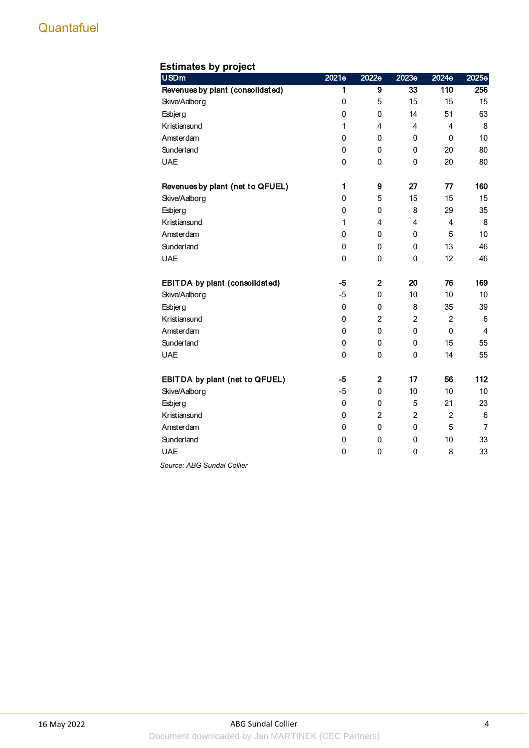| <b>Estimates by project</b>      |              |                |                |                |                 |
|----------------------------------|--------------|----------------|----------------|----------------|-----------------|
| <b>USDm</b>                      | 2021e        | 2022e          | 2023e          | 2024e          | 2025e           |
| Revenues by plant (consolidated) | 1            | 9              | 33             | 110            | 256             |
| Skive/Aalborg                    | 0            | 5              | 15             | 15             | 15              |
| Esbjerg                          | $\pmb{0}$    | $\pmb{0}$      | 14             | 51             | 63              |
| Kristiansund                     | 1            | $\overline{4}$ | $\overline{4}$ | $\overline{4}$ | 8               |
| Amsterdam                        | 0            | 0              | 0              | $\mathbf 0$    | 10              |
| Sunderland                       | 0            | 0              | 0              | 20             | 80              |
| <b>UAE</b>                       | 0            | $\mathbf 0$    | $\mathbf 0$    | 20             | 80              |
| Revenues by plant (net to QFUEL) | $\mathbf{1}$ | 9              | 27             | 77             | 160             |
| Skive/Aalborg                    | 0            | 5              | 15             | 15             | 15              |
| Esbjerg                          | 0            | 0              | 8              | 29             | 35              |
| Kristiansund                     | 1            | 4              | 4              | 4              | 8               |
| Amsterdam                        | 0            | 0              | 0              | 5              | 10              |
| Sunderland                       | 0            | $\mathbf 0$    | 0              | 13             | 46              |
| <b>UAE</b>                       | 0            | 0              | $\mathbf 0$    | 12             | 46              |
| EBITDA by plant (consolidated)   | $-5$         | $\mathbf{2}$   | 20             | 76             | 169             |
| Skive/Aalborg                    | $-5$         | $\pmb{0}$      | 10             | 10             | 10              |
| Esbjerg                          | 0            | 0              | 8              | 35             | 39              |
| Kristiansund                     | 0            | $\overline{2}$ | $\overline{c}$ | $\overline{2}$ | $6\phantom{1}6$ |
| Amsterdam                        | 0            | $\mathbf{0}$   | $\mathbf{0}$   | $\mathbf{0}$   | $\overline{4}$  |
| Sunderland                       | 0            | 0              | 0              | 15             | 55              |
| <b>UAE</b>                       | 0            | 0              | 0              | 14             | 55              |
| EBITDA by plant (net to QFUEL)   | -5           | $\overline{2}$ | 17             | 56             | 112             |
| Skive/Aalborg                    | $-5$         | 0              | 10             | 10             | 10              |
| Esbjerg                          | 0            | $\pmb{0}$      | 5              | 21             | 23              |
| Kristiansund                     | $\pmb{0}$    | $\overline{c}$ | $\overline{c}$ | $\overline{c}$ | $6\phantom{1}6$ |
| Amsterdam                        | 0            | $\pmb{0}$      | $\pmb{0}$      | 5              | $\overline{7}$  |
| <b>Sunderland</b>                | 0            | 0              | 0              | 10             | 33              |
| <b>UAE</b>                       | 0            | 0              | 0              | 8              | 33              |
| Source: ABG Sundal Collier       |              |                |                |                |                 |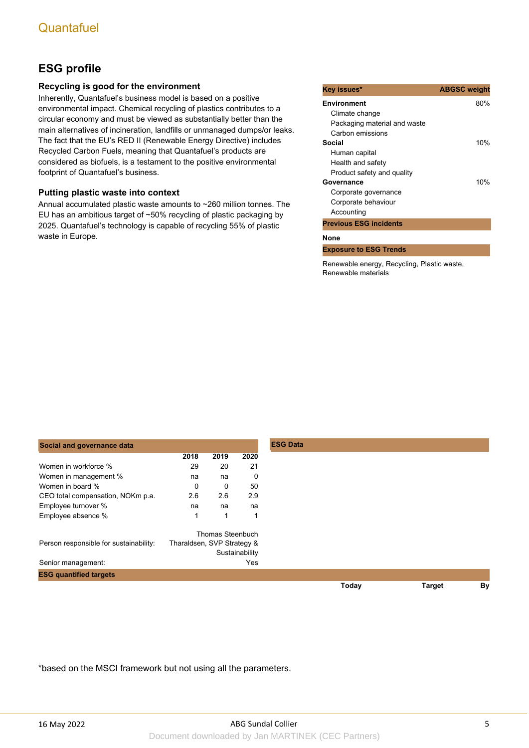## **ESG profile**

### **Recycling is good for the environment**

Inherently, Quantafuel's business model is based on a positive environmental impact. Chemical recycling of plastics contributes to a circular economy and must be viewed as substantially better than the main alternatives of incineration, landfills or unmanaged dumps/or leaks. The fact that the EU's RED II (Renewable Energy Directive) includes Recycled Carbon Fuels, meaning that Quantafuel's products are considered as biofuels, is a testament to the positive environmental footprint of Quantafuel's business.

### **Putting plastic waste into context**

Annual accumulated plastic waste amounts to ~260 million tonnes. The EU has an ambitious target of ~50% recycling of plastic packaging by 2025. Quantafuel's technology is capable of recycling 55% of plastic waste in Europe.

| Key issues*                   | <b>ABGSC weight</b> |
|-------------------------------|---------------------|
| Environment                   | 80%                 |
| Climate change                |                     |
| Packaging material and waste  |                     |
| Carbon emissions              |                     |
| Social                        | 10%                 |
| Human capital                 |                     |
| Health and safety             |                     |
| Product safety and quality    |                     |
| Governance                    | 10%                 |
| Corporate governance          |                     |
| Corporate behaviour           |                     |
| Accounting                    |                     |
| <b>Previous ESG incidents</b> |                     |
| None                          |                     |
| <b>Exposure to ESG Trends</b> |                     |

Renewable energy, Recycling, Plastic waste, Renewable materials

| Social and governance data             |                            |                  |                |
|----------------------------------------|----------------------------|------------------|----------------|
|                                        | 2018                       | 2019             | 2020           |
| Women in workforce %                   | 29                         | 20               | 21             |
| Women in management %                  | na                         | na               | 0              |
| Women in board %                       | 0                          | 0                | 50             |
| CEO total compensation, NOKm p.a.      | 2.6                        | 2.6              | 2.9            |
| Employee turnover %                    | na                         | na               | na             |
| Employee absence %                     | 1                          | $\mathbf{1}$     | 1              |
|                                        |                            | Thomas Steenbuch |                |
| Person responsible for sustainability: | Tharaldsen, SVP Strategy & |                  |                |
|                                        |                            |                  | Sustainability |
| Senior management:                     |                            |                  | Yes            |
| <b>ESG quantified targets</b>          |                            |                  |                |
|                                        |                            |                  |                |

\*based on the MSCI framework but not using all the parameters.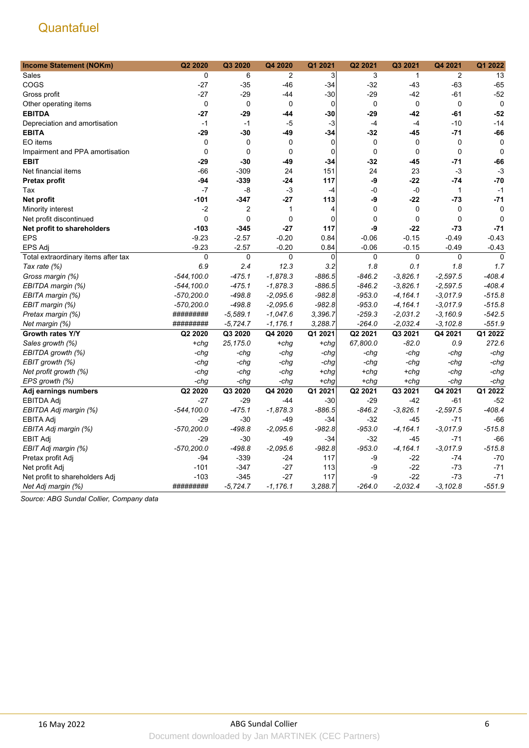| <b>Income Statement (NOKm)</b>      | Q2 2020       | Q3 2020     | Q4 2020      | Q1 2021        | Q2 2021     | Q3 2021      | Q4 2021      | Q1 2022     |
|-------------------------------------|---------------|-------------|--------------|----------------|-------------|--------------|--------------|-------------|
| Sales                               | 0             | 6           | 2            | 3              | 3           | $\mathbf{1}$ | 2            | 13          |
| COGS                                | $-27$         | $-35$       | $-46$        | -34            | $-32$       | $-43$        | $-63$        | $-65$       |
| Gross profit                        | $-27$         | $-29$       | -44          | -30            | $-29$       | $-42$        | $-61$        | $-52$       |
| Other operating items               | 0             | $\pmb{0}$   | $\mathbf 0$  | $\mathbf 0$    | $\mathbf 0$ | $\pmb{0}$    | $\pmb{0}$    | $\mathbf 0$ |
| <b>EBITDA</b>                       | -27           | -29         | -44          | -30            | $-29$       | -42          | $-61$        | $-52$       |
| Depreciation and amortisation       | $-1$          | $-1$        | $-5$         | $-3$           | $-4$        | $-4$         | $-10$        | $-14$       |
| <b>EBITA</b>                        | $-29$         | $-30$       | -49          | $-34$          | $-32$       | $-45$        | $-71$        | -66         |
| EO items                            | 0             | $\mathbf 0$ | 0            | $\mathbf 0$    | 0           | $\mathbf 0$  | $\mathbf 0$  | $\mathbf 0$ |
| Impairment and PPA amortisation     | 0             | $\mathbf 0$ | $\mathbf 0$  | $\mathbf 0$    | 0           | $\mathbf 0$  | $\pmb{0}$    | $\mathbf 0$ |
| <b>EBIT</b>                         | -29           | $-30$       | $-49$        | $-34$          | $-32$       | $-45$        | $-71$        | -66         |
| Net financial items                 | $-66$         | $-309$      | 24           | 151            | 24          | 23           | $-3$         | $-3$        |
| Pretax profit                       | -94           | $-339$      | -24          | 117            | -9          | $-22$        | $-74$        | $-70$       |
| Tax                                 | $-7$          | -8          | $-3$         | $-4$           | $-0$        | $-0$         | $\mathbf{1}$ | $-1$        |
| Net profit                          | -101          | $-347$      | -27          | 113            | -9          | $-22$        | $-73$        | $-71$       |
| Minority interest                   | $-2$          | 2           | $\mathbf{1}$ | $\overline{4}$ | 0           | $\mathbf 0$  | $\mathbf 0$  | $\mathbf 0$ |
| Net profit discontinued             | $\mathbf{0}$  | $\Omega$    | $\mathbf 0$  | $\mathbf 0$    | $\Omega$    | $\mathbf 0$  | $\mathbf{0}$ | $\mathbf 0$ |
| Net profit to shareholders          | $-103$        | $-345$      | $-27$        | 117            | -9          | $-22$        | $-73$        | $-71$       |
| <b>EPS</b>                          | $-9.23$       | $-2.57$     | $-0.20$      | 0.84           | $-0.06$     | $-0.15$      | $-0.49$      | $-0.43$     |
| <b>EPS Adj</b>                      | $-9.23$       | $-2.57$     | $-0.20$      | 0.84           | $-0.06$     | $-0.15$      | $-0.49$      | $-0.43$     |
| Total extraordinary items after tax | $\mathbf 0$   | $\mathbf 0$ | $\mathbf 0$  | 0              | $\mathbf 0$ | $\mathbf 0$  | $\mathbf 0$  | $\mathbf 0$ |
| Tax rate (%)                        | 6.9           | 2.4         | 12.3         | 3.2            | 1.8         | 0.1          | 1.8          | 1.7         |
| Gross margin (%)                    | $-544, 100.0$ | $-475.1$    | $-1,878.3$   | $-886.5$       | $-846.2$    | $-3,826.1$   | $-2,597.5$   | $-408.4$    |
| EBITDA margin (%)                   | $-544, 100.0$ | $-475.1$    | $-1,878.3$   | $-886.5$       | $-846.2$    | $-3,826.1$   | $-2,597.5$   | $-408.4$    |
| EBITA margin (%)                    | $-570,200.0$  | $-498.8$    | $-2,095.6$   | $-982.8$       | $-953.0$    | $-4, 164.1$  | $-3,017.9$   | $-515.8$    |
| EBIT margin (%)                     | $-570,200.0$  | $-498.8$    | $-2,095.6$   | $-982.8$       | $-953.0$    | $-4, 164.1$  | $-3,017.9$   | $-515.8$    |
| Pretax margin (%)                   | #########     | $-5,589.1$  | $-1,047.6$   | 3,396.7        | $-259.3$    | $-2,031.2$   | $-3,160.9$   | $-542.5$    |
| Net margin (%)                      | #########     | $-5,724.7$  | $-1,176.1$   | 3,288.7        | $-264.0$    | $-2,032.4$   | $-3.102.8$   | $-551.9$    |
| Growth rates Y/Y                    | Q2 2020       | Q3 2020     | Q4 2020      | Q1 2021        | Q2 2021     | Q3 2021      | Q4 2021      | Q1 2022     |
| Sales growth (%)                    | $+chq$        | 25,175.0    | +chq         | +chq           | 67,800.0    | $-82.0$      | 0.9          | 272.6       |
| EBITDA growth (%)                   | -chg          | -chg        | -chg         | $-chg$         | -chg        | -chg         | -chg         | $-chg$      |
| EBIT growth (%)                     | -chg          | -chg        | -chg         | -chg           | -chg        | -chg         | -chg         | -chg        |
| Net profit growth (%)               | -chg          | -chg        | -chg         | $+chg$         | $+chg$      | +chg         | -chg         | -chg        |
| EPS growth (%)                      | -chq          | -chg        | -chq         | +chq           | $+chg$      | +chg         | -chq         | $-chg$      |
| Adj earnings numbers                | Q2 2020       | Q3 2020     | Q4 2020      | Q1 2021        | Q2 2021     | Q3 2021      | Q4 2021      | Q1 2022     |
| <b>EBITDA Adj</b>                   | $-27$         | $-29$       | $-44$        | $-30$          | $-29$       | -42          | $-61$        | $-52$       |
| EBITDA Adj margin (%)               | $-544, 100.0$ | $-475.1$    | $-1,878.3$   | $-886.5$       | $-846.2$    | $-3,826.1$   | $-2,597.5$   | $-408.4$    |
| <b>EBITA Adj</b>                    | $-29$         | $-30$       | $-49$        | -34            | $-32$       | -45          | $-71$        | $-66$       |
| EBITA Adj margin (%)                | $-570,200.0$  | $-498.8$    | $-2,095.6$   | $-982.8$       | $-953.0$    | $-4,164.1$   | $-3,017.9$   | $-515.8$    |
| <b>EBIT Adj</b>                     | $-29$         | $-30$       | $-49$        | $-34$          | $-32$       | -45          | $-71$        | $-66$       |
| EBIT Adj margin (%)                 | $-570,200.0$  | $-498.8$    | $-2,095.6$   | $-982.8$       | $-953.0$    | $-4,164.1$   | $-3,017.9$   | $-515.8$    |
| Pretax profit Adj                   | $-94$         | $-339$      | -24          | 117            | -9          | $-22$        | $-74$        | $-70$       |
| Net profit Adj                      | $-101$        | $-347$      | $-27$        | 113            | -9          | $-22$        | $-73$        | $-71$       |
| Net profit to shareholders Adj      | $-103$        | $-345$      | $-27$        | 117            | -9          | $-22$        | $-73$        | $-71$       |
| Net Adj margin (%)                  | #########     | $-5,724.7$  | $-1,176.1$   | 3,288.7        | -264.0      | $-2,032.4$   | $-3,102.8$   | $-551.9$    |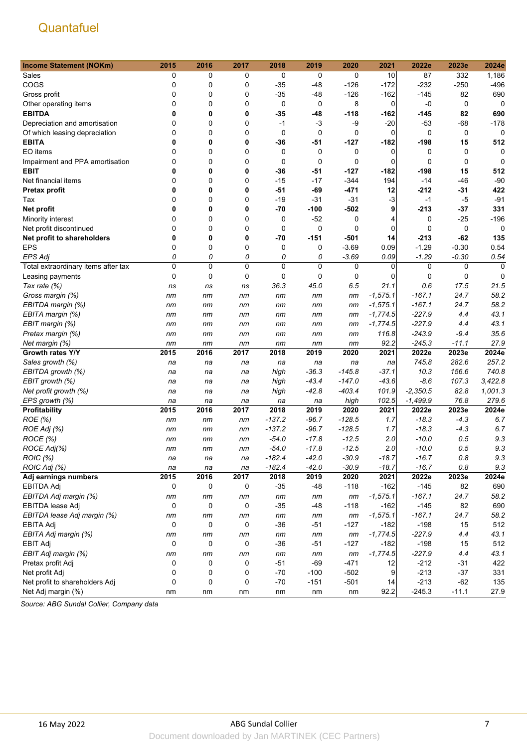| <b>Income Statement (NOKm)</b>      | 2015        | 2016        | 2017        | 2018     | 2019    | 2020     | 2021       | 2022e       | 2023e       | 2024e       |
|-------------------------------------|-------------|-------------|-------------|----------|---------|----------|------------|-------------|-------------|-------------|
| Sales                               | 0           | 0           | 0           | 0        | 0       | 0        | 10         | 87          | 332         | 1,186       |
| COGS                                | 0           | 0           | 0           | $-35$    | -48     | $-126$   | $-172$     | $-232$      | $-250$      | $-496$      |
| Gross profit                        | 0           | $\mathbf 0$ | 0           | $-35$    | -48     | $-126$   | $-162$     | $-145$      | 82          | 690         |
| Other operating items               | 0           | $\mathbf 0$ | 0           | 0        | 0       | 8        | 0          | -0          | 0           | 0           |
| <b>EBITDA</b>                       | 0           | 0           | 0           | $-35$    | $-48$   | $-118$   | -162       | $-145$      | 82          | 690         |
| Depreciation and amortisation       | 0           | 0           | 0           | $-1$     | -3      | -9       | $-20$      | $-53$       | $-68$       | $-178$      |
| Of which leasing depreciation       | 0           | 0           | 0           | 0        | 0       | 0        | 0          | 0           | 0           | $\mathbf 0$ |
| <b>EBITA</b>                        | 0           | 0           | 0           | $-36$    | -51     | -127     | -182       | $-198$      | 15          | 512         |
| EO items                            | 0           | $\mathbf 0$ | 0           | 0        | 0       | 0        | 0          | 0           | 0           | 0           |
| Impairment and PPA amortisation     | 0           | $\mathbf 0$ | $\Omega$    | 0        | 0       | 0        | 0          | $\mathbf 0$ | 0           | 0           |
| <b>EBIT</b>                         | 0           | 0           | 0           | -36      | -51     | $-127$   | -182       | -198        | 15          | 512         |
| Net financial items                 | 0           | 0           | 0           | $-15$    | $-17$   | $-344$   | 194        | $-14$       | $-46$       | $-90$       |
| <b>Pretax profit</b>                | 0           | 0           | 0           | $-51$    | $-69$   | $-471$   | 12         | $-212$      | $-31$       | 422         |
| Tax                                 | 0           | $\mathbf 0$ | 0           | $-19$    | $-31$   | $-31$    | -3         | -1          | $-5$        | $-91$       |
|                                     | 0           | 0           | 0           | $-70$    | -100    | $-502$   | 9          | -213        | $-37$       | 331         |
| Net profit                          |             |             |             |          | $-52$   |          |            |             |             | $-196$      |
| Minority interest                   | 0           | 0           | 0           | 0        |         | 0        | 4          | 0           | $-25$       |             |
| Net profit discontinued             | 0           | 0           | 0           | 0        | 0       | 0        | 0          | $\mathbf 0$ | 0           | $\mathbf 0$ |
| Net profit to shareholders          | 0           | 0           | 0           | $-70$    | -151    | $-501$   | 14         | $-213$      | $-62$       | 135         |
| <b>EPS</b>                          | 0           | $\mathbf 0$ | 0           | 0        | 0       | $-3.69$  | 0.09       | $-1.29$     | $-0.30$     | 0.54        |
| <b>EPS Adj</b>                      | 0           | 0           | 0           | 0        | 0       | $-3.69$  | 0.09       | $-1.29$     | $-0.30$     | 0.54        |
| Total extraordinary items after tax | 0           | $\mathbf 0$ | $\mathbf 0$ | 0        | 0       | 0        | 0          | 0           | 0           | $\Omega$    |
| Leasing payments                    | 0           | 0           | 0           | 0        | 0       | 0        | 0          | 0           | $\mathbf 0$ | $\Omega$    |
| Tax rate (%)                        | ns          | ns          | ns          | 36.3     | 45.0    | 6.5      | 21.1       | 0.6         | 17.5        | 21.5        |
| Gross margin (%)                    | nm          | nm          | nm          | nm       | nm      | nm       | $-1,575.1$ | $-167.1$    | 24.7        | 58.2        |
| EBITDA margin (%)                   | nm          | nm          | nm          | nm       | nm      | nm       | $-1,575.1$ | $-167.1$    | 24.7        | 58.2        |
| EBITA margin (%)                    | nm          | nm          | nm          | nm       | nm      | nm       | $-1,774.5$ | $-227.9$    | 4.4         | 43.1        |
| EBIT margin (%)                     | nm          | nm          | nm          | nm       | nm      | nm       | $-1,774.5$ | $-227.9$    | 4.4         | 43.1        |
| Pretax margin (%)                   | пm          | nm          | nm          | nm       | nm      | nm       | 116.8      | $-243.9$    | $-9.4$      | 35.6        |
| Net margin (%)                      | nm          | nm          | nm          | nm       | nm      | nm       | 92.2       | $-245.3$    | $-11.1$     | 27.9        |
| Growth rates Y/Y                    | 2015        | 2016        | 2017        | 2018     | 2019    | 2020     | 2021       | 2022e       | 2023e       | 2024e       |
| Sales growth (%)                    | na          | na          | na          | na       | na      | na       | na         | 745.8       | 282.6       | 257.2       |
| EBITDA growth (%)                   | na          | na          | na          | high     | $-36.3$ | $-145.8$ | $-37.1$    | 10.3        | 156.6       | 740.8       |
| EBIT growth (%)                     | na          | na          | na          | high     | $-43.4$ | $-147.0$ | $-43.6$    | $-8.6$      | 107.3       | 3,422.8     |
| Net profit growth (%)               | na          | na          | na          | high     | $-42.8$ | $-403.4$ | 101.9      | $-2,350.5$  | 82.8        | 1,001.3     |
| EPS growth (%)                      | na          | na          | na          | na       | na      | high     | 102.5      | $-1,499.9$  | 76.8        | 279.6       |
| Profitability                       | 2015        | 2016        | 2017        | 2018     | 2019    | 2020     | 2021       | 2022e       | 2023e       | 2024e       |
| ROE (%)                             | nm          | nm          | nm          | $-137.2$ | $-96.7$ | $-128.5$ | 1.7        | $-18.3$     | $-4.3$      | 6.7         |
| ROE Adj (%)                         | пm          | nm          | nm          | $-137.2$ | $-96.7$ | $-128.5$ | 1.7        | $-18.3$     | $-4.3$      | 6.7         |
| ROCE (%)                            | пm          | nm          | nm          | $-54.0$  | $-17.8$ | $-12.5$  | 2.0        | $-10.0$     | 0.5         | 9.3         |
| ROCE Adj(%)                         | nm          | nm          | nm          | -54.0    | $-17.8$ | $-12.5$  | 2.0        | $-10.0$     | 0.5         | 9.3         |
| ROIC (%)                            | na          | na          | na          | $-182.4$ | $-42.0$ | $-30.9$  | $-18.7$    | $-16.7$     | $0.8\,$     | 9.3         |
| ROIC Adj (%)                        | na          | na          | na          | $-182.4$ | $-42.0$ | $-30.9$  | $-18.7$    | $-16.7$     | 0.8         | 9.3         |
| Adj earnings numbers                | 2015        | 2016        | 2017        | 2018     | 2019    | 2020     | 2021       | 2022e       | 2023e       | 2024e       |
| <b>EBITDA Adj</b>                   | 0           | 0           | 0           | $-35$    | $-48$   | $-118$   | $-162$     | $-145$      | 82          | 690         |
| EBITDA Adj margin (%)               | пm          | nm          | nm          | nm       | nm      | nm       | $-1,575.1$ | $-167.1$    | 24.7        | 58.2        |
| EBITDA lease Adj                    | 0           | 0           | 0           | $-35$    | $-48$   | $-118$   | $-162$     | $-145$      | 82          | 690         |
| EBITDA lease Adj margin (%)         | nm          | nm          | nm          | nm       | nm      | nm       | $-1,575.1$ | $-167.1$    | 24.7        | 58.2        |
| <b>EBITA Adj</b>                    | 0           | 0           | 0           | $-36$    | $-51$   | $-127$   | $-182$     | $-198$      | 15          | 512         |
| EBITA Adj margin (%)                | nm          | nm          | nm          | nm       | nm      | nm       | $-1,774.5$ | $-227.9$    | 4.4         | 43.1        |
| <b>EBIT Adj</b>                     | $\mathbf 0$ | $\pmb{0}$   | 0           | $-36$    | $-51$   | $-127$   | $-182$     | $-198$      | 15          | 512         |
| EBIT Adj margin (%)                 | пm          | nm          | nm          | nm       | nm      | nm       | $-1,774.5$ | $-227.9$    | 4.4         | 43.1        |
| Pretax profit Adj                   | 0           | 0           | 0           | $-51$    | $-69$   | $-471$   | 12         | $-212$      | $-31$       | 422         |
| Net profit Adj                      | 0           | 0           | 0           | $-70$    | $-100$  | $-502$   | 9          | $-213$      | $-37$       | 331         |
| Net profit to shareholders Adj      | 0           | 0           | 0           | $-70$    | $-151$  | $-501$   | 14         | $-213$      | $-62$       | 135         |
|                                     |             |             |             |          |         |          | 92.2       | $-245.3$    |             |             |
| Net Adj margin (%)                  | nm          | nm          | nm          | nm       | nm      | nm       |            |             | $-11.1$     | 27.9        |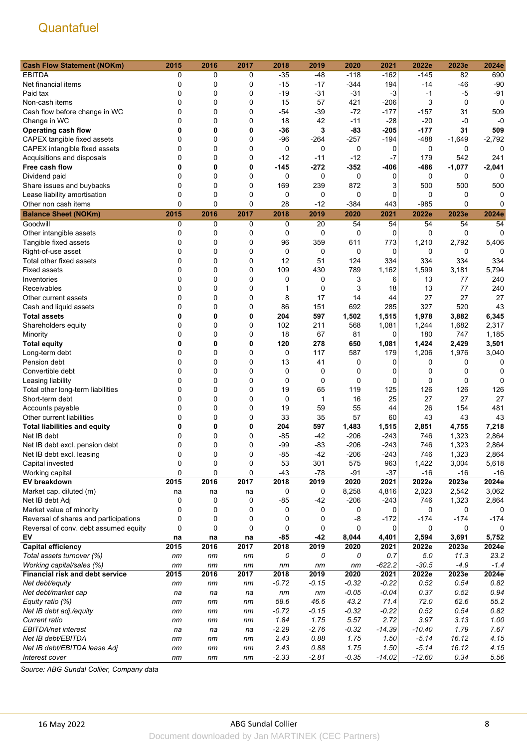| <b>Cash Flow Statement (NOKm)</b>      | 2015         | 2016 | 2017    | 2018    | 2019    | 2020    | 2021     | 2022e    | 2023e       | 2024e            |
|----------------------------------------|--------------|------|---------|---------|---------|---------|----------|----------|-------------|------------------|
| <b>EBITDA</b>                          | 0            | 0    | 0       | $-35$   | $-48$   | $-118$  | $-162$   | $-145$   | 82          | 690              |
| Net financial items                    | 0            | 0    | 0       | $-15$   | $-17$   | $-344$  | 194      | $-14$    | $-46$       | $-90$            |
| Paid tax                               | 0            | 0    | 0       | $-19$   | $-31$   | -31     | $-3$     | $-1$     | $-5$        | $-91$            |
| Non-cash items                         | 0            | 0    | 0       | 15      | 57      | 421     | -206     | 3        | $\mathbf 0$ | 0                |
| Cash flow before change in WC          | 0            | 0    | 0       | $-54$   | $-39$   | $-72$   | $-177$   | $-157$   | 31          | 509              |
| Change in WC                           | 0            | 0    | 0       | 18      | 42      | $-11$   | $-28$    | $-20$    | -0          | $-0$             |
| <b>Operating cash flow</b>             | 0            | 0    | 0       | $-36$   | 3       | $-83$   | $-205$   | $-177$   | 31          | 509              |
| CAPEX tangible fixed assets            | 0            | 0    | 0       | -96     | $-264$  | $-257$  | -194     | -488     | $-1,649$    | $-2,792$         |
| CAPEX intangible fixed assets          | 0            | 0    | 0       | 0       | 0       | 0       | 0        | 0        | 0           | 0                |
| Acquisitions and disposals             | 0            | 0    | 0       | $-12$   | $-11$   | $-12$   | $-7$     | 179      | 542         | 241              |
| Free cash flow                         | 0            | 0    | 0       | -145    | $-272$  | $-352$  | -406     | -486     | $-1,077$    | $-2,041$         |
| Dividend paid                          | 0            | 0    | 0       | 0       | 0       | 0       | 0        | 0        | 0           | $\Omega$         |
|                                        | 0            | 0    | 0       | 169     | 239     | 872     | 3        | 500      | 500         | 500              |
| Share issues and buybacks              | 0            | 0    | 0       |         |         |         |          |          |             |                  |
| Lease liability amortisation           | 0            | 0    | 0       | 0       | 0       | 0       | 0        | 0        | 0<br>0      | 0<br>$\Omega$    |
| Other non cash items                   |              |      |         | 28      | $-12$   | -384    | 443      | -985     |             |                  |
| <b>Balance Sheet (NOKm)</b>            | 2015         | 2016 | 2017    | 2018    | 2019    | 2020    | 2021     | 2022e    | 2023e       | 2024e            |
| Goodwill                               | 0            | 0    | 0       | 0       | 20      | 54      | 54       | 54       | 54          | 54               |
| Other intangible assets                | 0            | 0    | 0       | 0       | 0       | 0       | 0        | 0        | 0           | 0                |
| Tangible fixed assets                  | 0            | 0    | 0       | 96      | 359     | 611     | 773      | 1,210    | 2,792       | 5,406            |
| Right-of-use asset                     | 0            | 0    | 0       | 0       | 0       | 0       | 0        | 0        | 0           | 0                |
| Total other fixed assets               | 0            | 0    | 0       | 12      | 51      | 124     | 334      | 334      | 334         | 334              |
| <b>Fixed assets</b>                    | 0            | 0    | 0       | 109     | 430     | 789     | 1,162    | 1,599    | 3,181       | 5,794            |
| Inventories                            | $\mathbf{0}$ | 0    | 0       | 0       | 0       | 3       | 6        | 13       | 77          | 240              |
| Receivables                            | 0            | 0    | 0       | 1       | 0       | 3       | 18       | 13       | 77          | 240              |
| Other current assets                   | 0            | 0    | 0       | 8       | 17      | 14      | 44       | 27       | 27          | 27               |
| Cash and liquid assets                 | 0            | 0    | 0       | 86      | 151     | 692     | 285      | 327      | 520         | 43               |
| <b>Total assets</b>                    | 0            | 0    | 0       | 204     | 597     | 1,502   | 1,515    | 1,978    | 3,882       | 6,345            |
| Shareholders equity                    | 0            | 0    | 0       | 102     | 211     | 568     | 1,081    | 1,244    | 1,682       | 2,317            |
| Minority                               | 0            | 0    | 0       | 18      | 67      | 81      | 0        | 180      | 747         | 1,185            |
| <b>Total equity</b>                    | 0            | 0    | 0       | 120     | 278     | 650     | 1,081    | 1,424    | 2,429       | 3,501            |
| Long-term debt                         | 0            | 0    | 0       | 0       | 117     | 587     | 179      | 1,206    | 1,976       | 3,040            |
| Pension debt                           | 0            | 0    | 0       | 13      | 41      | 0       | 0        | 0        | 0           | 0                |
| Convertible debt                       | 0            | 0    | 0       | 0       | 0       | 0       | 0        | 0        | 0           | 0                |
| Leasing liability                      | 0            | 0    | 0       | 0       | 0       | 0       | 0        | 0        | 0           | 0                |
| Total other long-term liabilities      | 0            | 0    | 0       | 19      | 65      | 119     | 125      | 126      | 126         | 126              |
| Short-term debt                        | 0            | 0    | 0       | 0       | 1       | 16      | 25       | 27       | 27          | 27               |
| Accounts payable                       | 0            | 0    | 0       | 19      | 59      | 55      | 44       | 26       | 154         | 481              |
| Other current liabilities              | $\Omega$     | 0    | 0       | 33      | 35      | 57      | 60       | 43       | 43          | 43               |
| <b>Total liabilities and equity</b>    | 0            | 0    | 0       | 204     | 597     | 1,483   | 1,515    | 2,851    | 4,755       | 7,218            |
| Net IB debt                            | 0            | 0    | 0       | $-85$   | -42     | $-206$  | -243     | 746      | 1,323       | 2,864            |
| Net IB debt excl. pension debt         | 0            | 0    | 0       | -99     | $-83$   | $-206$  | -243     | 746      | 1,323       | 2,864            |
| Net IB debt excl. leasing              | $\Omega$     | 0    | 0       | $-85$   | -42     | $-206$  | $-243$   | 746      | 1,323       | 2,864            |
| Capital invested                       | 0            | 0    | 0       | 53      | 301     | 575     | 963      | 1,422    | 3,004       | 5,618            |
| Working capital                        | $\pmb{0}$    | 0    | 0       | $-43$   | $-78$   | $-91$   | $-37$    | $-16$    | $-16$       | $-16$            |
| EV breakdown                           | 2015         | 2016 | 2017    | 2018    | 2019    | 2020    | 2021     | 2022e    | 2023e       | 2024e            |
| Market cap. diluted (m)                | na           | na   |         | 0       | 0       | 8,258   | 4,816    | 2,023    | 2,542       | 3,062            |
| Net IB debt Adj                        | 0            | 0    | na<br>0 | $-85$   | $-42$   | $-206$  | $-243$   | 746      | 1,323       | 2,864            |
|                                        | 0            | 0    | 0       | 0       | 0       | 0       | 0        | 0        | 0           | 0                |
| Market value of minority               | 0            |      |         |         |         |         |          |          |             |                  |
| Reversal of shares and participations  |              | 0    | 0       | 0       | 0       | -8      | $-172$   | -174     | $-174$      | -174<br>$\Omega$ |
| Reversal of conv. debt assumed equity  | 0            | 0    | 0       | 0       | 0       | 0       | 0        | 0        | 0           |                  |
| EV                                     | na           | na   | na      | $-85$   | $-42$   | 8,044   | 4,401    | 2,594    | 3,691       | 5,752            |
| <b>Capital efficiency</b>              | 2015         | 2016 | 2017    | 2018    | 2019    | 2020    | 2021     | 2022e    | 2023e       | 2024e            |
| Total assets turnover (%)              | nm           | nm   | nm      | 0       | 0       | 0       | 0.7      | 5.0      | 11.3        | 23.2             |
| Working capital/sales (%)              | nm           | nm   | nm      | nm      | nm      | nm      | $-622.2$ | $-30.5$  | $-4.9$      | $-1.4$           |
| <b>Financial risk and debt service</b> | 2015         | 2016 | 2017    | 2018    | 2019    | 2020    | 2021     | 2022e    | 2023e       | 2024e            |
| Net debt/equity                        | nm           | nm   | nm      | $-0.72$ | $-0.15$ | $-0.32$ | $-0.22$  | 0.52     | 0.54        | 0.82             |
| Net debt/market cap                    | na           | na   | na      | nm      | nm      | $-0.05$ | $-0.04$  | 0.37     | 0.52        | 0.94             |
| Equity ratio (%)                       | nm           | nm   | nm      | 58.6    | 46.6    | 43.2    | 71.4     | 72.0     | 62.6        | 55.2             |
| Net IB debt adj./equity                | nm           | nm   | nm      | $-0.72$ | $-0.15$ | $-0.32$ | $-0.22$  | 0.52     | 0.54        | 0.82             |
| Current ratio                          | nm           | nm   | nm      | 1.84    | 1.75    | 5.57    | 2.72     | 3.97     | 3.13        | 1.00             |
| EBITDA/net interest                    | na           | na   | na      | $-2.29$ | $-2.76$ | $-0.32$ | $-14.39$ | $-10.40$ | 1.79        | 7.67             |
| Net IB debt/EBITDA                     | пm           | пm   | nm      | 2.43    | 0.88    | 1.75    | 1.50     | $-5.14$  | 16.12       | 4.15             |
| Net IB debt/EBITDA lease Adj           | nm           | nm   | nm      | 2.43    | 0.88    | 1.75    | 1.50     | $-5.14$  | 16.12       | 4.15             |
| Interest cover                         | nm           | nm   | nm      | $-2.33$ | $-2.81$ | $-0.35$ | $-14.02$ | $-12.60$ | 0.34        | 5.56             |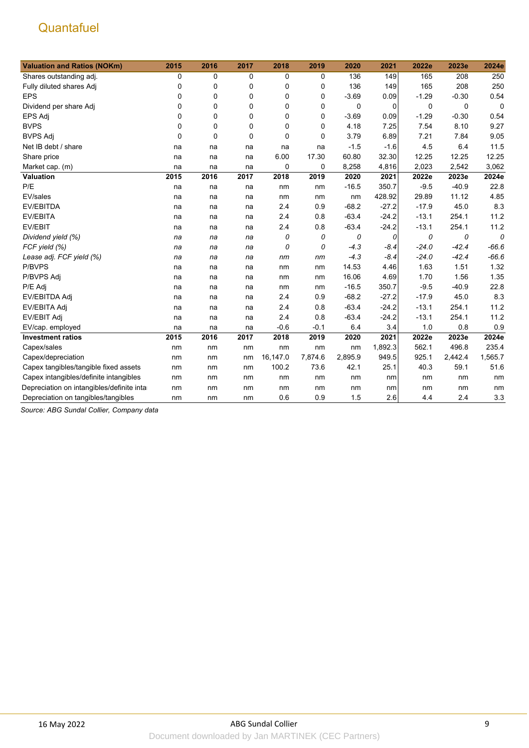| <b>Valuation and Ratios (NOKm)</b>         | 2015        | 2016        | 2017        | 2018     | 2019        | 2020    | 2021    | 2022e   | 2023e   | 2024e       |
|--------------------------------------------|-------------|-------------|-------------|----------|-------------|---------|---------|---------|---------|-------------|
| Shares outstanding adj.                    | 0           | 0           | $\mathbf 0$ | 0        | 0           | 136     | 149     | 165     | 208     | 250         |
| Fully diluted shares Adj                   | 0           | 0           | 0           | 0        | 0           | 136     | 149     | 165     | 208     | 250         |
| <b>EPS</b>                                 | 0           | $\mathbf 0$ | 0           | 0        | 0           | $-3.69$ | 0.09    | $-1.29$ | $-0.30$ | 0.54        |
| Dividend per share Adj                     | 0           | 0           | 0           | 0        | 0           | 0       | 0       | 0       | 0       | $\mathbf 0$ |
| <b>EPS Adj</b>                             | 0           | 0           | 0           | 0        | 0           | $-3.69$ | 0.09    | $-1.29$ | $-0.30$ | 0.54        |
| <b>BVPS</b>                                | 0           | $\mathbf 0$ | $\mathbf 0$ | 0        | 0           | 4.18    | 7.25    | 7.54    | 8.10    | 9.27        |
| <b>BVPS Adj</b>                            | $\mathbf 0$ | $\mathbf 0$ | $\Omega$    | 0        | $\mathbf 0$ | 3.79    | 6.89    | 7.21    | 7.84    | 9.05        |
| Net IB debt / share                        | na          | na          | na          | na       | na          | $-1.5$  | $-1.6$  | 4.5     | 6.4     | 11.5        |
| Share price                                | na          | na          | na          | 6.00     | 17.30       | 60.80   | 32.30   | 12.25   | 12.25   | 12.25       |
| Market cap. (m)                            | na          | na          | na          | 0        | 0           | 8,258   | 4,816   | 2,023   | 2,542   | 3,062       |
| Valuation                                  | 2015        | 2016        | 2017        | 2018     | 2019        | 2020    | 2021    | 2022e   | 2023e   | 2024e       |
| P/E                                        | na          | na          | na          | nm       | nm          | $-16.5$ | 350.7   | $-9.5$  | $-40.9$ | 22.8        |
| EV/sales                                   | na          | na          | na          | nm       | nm          | nm      | 428.92  | 29.89   | 11.12   | 4.85        |
| <b>EV/EBITDA</b>                           | na          | na          | na          | 2.4      | 0.9         | $-68.2$ | $-27.2$ | $-17.9$ | 45.0    | 8.3         |
| EV/EBITA                                   | na          | na          | na          | 2.4      | 0.8         | $-63.4$ | $-24.2$ | $-13.1$ | 254.1   | 11.2        |
| EV/EBIT                                    | na          | na          | na          | 2.4      | 0.8         | $-63.4$ | $-24.2$ | $-13.1$ | 254.1   | 11.2        |
| Dividend yield (%)                         | na          | na          | na          | 0        | 0           | 0       | 0       | 0       | 0       | 0           |
| FCF yield (%)                              | na          | na          | na          | 0        | 0           | $-4.3$  | $-8.4$  | $-24.0$ | $-42.4$ | $-66.6$     |
| Lease adj. FCF yield (%)                   | na          | na          | na          | nm       | nm          | $-4.3$  | $-8.4$  | $-24.0$ | $-42.4$ | $-66.6$     |
| P/BVPS                                     | na          | na          | na          | nm       | nm          | 14.53   | 4.46    | 1.63    | 1.51    | 1.32        |
| P/BVPS Adj                                 | na          | na          | na          | nm       | nm          | 16.06   | 4.69    | 1.70    | 1.56    | 1.35        |
| P/E Adj                                    | na          | na          | na          | nm       | nm          | $-16.5$ | 350.7   | $-9.5$  | $-40.9$ | 22.8        |
| EV/EBITDA Adj                              | na          | na          | na          | 2.4      | 0.9         | $-68.2$ | $-27.2$ | $-17.9$ | 45.0    | 8.3         |
| EV/EBITA Adj                               | na          | na          | na          | 2.4      | 0.8         | $-63.4$ | $-24.2$ | $-13.1$ | 254.1   | 11.2        |
| <b>EV/EBIT Adj</b>                         | na          | na          | na          | 2.4      | 0.8         | $-63.4$ | $-24.2$ | $-13.1$ | 254.1   | 11.2        |
| EV/cap. employed                           | na          | na          | na          | $-0.6$   | $-0.1$      | 6.4     | 3.4     | 1.0     | 0.8     | 0.9         |
| <b>Investment ratios</b>                   | 2015        | 2016        | 2017        | 2018     | 2019        | 2020    | 2021    | 2022e   | 2023e   | 2024e       |
| Capex/sales                                | nm          | nm          | nm          | nm       | nm          | nm      | 1,892.3 | 562.1   | 496.8   | 235.4       |
| Capex/depreciation                         | nm          | nm          | nm          | 16,147.0 | 7,874.6     | 2,895.9 | 949.5   | 925.1   | 2,442.4 | 1,565.7     |
| Capex tangibles/tangible fixed assets      | nm          | nm          | nm          | 100.2    | 73.6        | 42.1    | 25.1    | 40.3    | 59.1    | 51.6        |
| Capex intangibles/definite intangibles     | nm          | nm          | nm          | nm       | nm          | nm      | nm      | nm      | nm      | nm          |
| Depreciation on intangibles/definite intar | nm          | nm          | nm          | nm       | nm          | nm      | nm      | nm      | nm      | nm          |
| Depreciation on tangibles/tangibles        | nm          | nm          | nm          | 0.6      | 0.9         | 1.5     | 2.6     | 4.4     | 2.4     | 3.3         |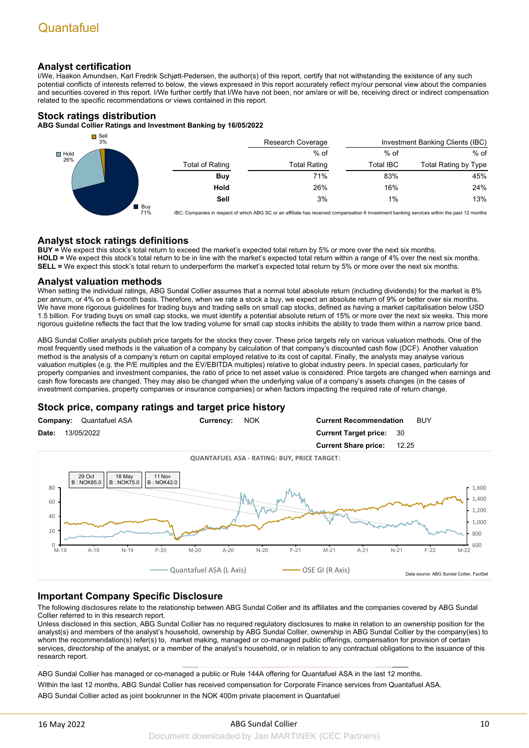### **Analyst certification**

I/We, Haakon Amundsen, Karl Fredrik Schjøtt-Pedersen, the author(s) of this report, certify that not withstanding the existence of any such potential conflicts of interests referred to below, the views expressed in this report accurately reflect my/our personal view about the companies and securities covered in this report. I/We further certify that I/We have not been, nor am/are or will be, receiving direct or indirect compensation related to the specific recommendations or views contained in this report.

### **Stock ratings distribution**

**ABG Sundal Collier Ratings and Investment Banking by 16/05/2022**



IBC: Companies in respect of which ABG SC or an affiliate has received compensation fr investment banking services within the past 12 months

### **Analyst stock ratings definitions**

**BUY =** We expect this stock's total return to exceed the market's expected total return by 5% or more over the next six months. **HOLD =** We expect this stock's total return to be in line with the market's expected total return within a range of 4% over the next six months. **SELL =** We expect this stock's total return to underperform the market's expected total return by 5% or more over the next six months.

### **Analyst valuation methods**

When setting the individual ratings, ABG Sundal Collier assumes that a normal total absolute return (including dividends) for the market is 8% per annum, or 4% on a 6-month basis. Therefore, when we rate a stock a buy, we expect an absolute return of 9% or better over six months. We have more rigorous guidelines for trading buys and trading sells on small cap stocks, defined as having a market capitalisation below USD 1.5 billion. For trading buys on small cap stocks, we must identify a potential absolute return of 15% or more over the next six weeks. This more rigorous guideline reflects the fact that the low trading volume for small cap stocks inhibits the ability to trade them within a narrow price band.

ABG Sundal Collier analysts publish price targets for the stocks they cover. These price targets rely on various valuation methods. One of the most frequently used methods is the valuation of a company by calculation of that company's discounted cash flow (DCF). Another valuation method is the analysis of a company's return on capital employed relative to its cost of capital. Finally, the analysts may analyse various valuation multiples (e.g. the P/E multiples and the EV/EBITDA multiples) relative to global industry peers. In special cases, particularly for property companies and investment companies, the ratio of price to net asset value is considered. Price targets are changed when earnings and cash flow forecasts are changed. They may also be changed when the underlying value of a company's assets changes (in the cases of investment companies, property companies or insurance companies) or when factors impacting the required rate of return change.

### **Stock price, company ratings and target price history**



### **Important Company Specific Disclosure**

The following disclosures relate to the relationship between ABG Sundal Collier and its affiliates and the companies covered by ABG Sundal Collier referred to in this research report.

Unless disclosed in this section, ABG Sundal Collier has no required regulatory disclosures to make in relation to an ownership position for the analyst(s) and members of the analyst's household, ownership by ABG Sundal Collier, ownership in ABG Sundal Collier by the company(ies) to whom the recommendation(s) refer(s) to, market making, managed or co-managed public offerings, compensation for provision of certain services, directorship of the analyst, or a member of the analyst's household, or in relation to any contractual obligations to the issuance of this research report.

ABG Sundal Collier has managed or co-managed a public or Rule 144A offering for Quantafuel ASA in the last 12 months.

Within the last 12 months, ABG Sundal Collier has received compensation for Corporate Finance services from Quantafuel ASA. ABG Sundal Collier acted as joint bookrunner in the NOK 400m private placement in Quantafuel